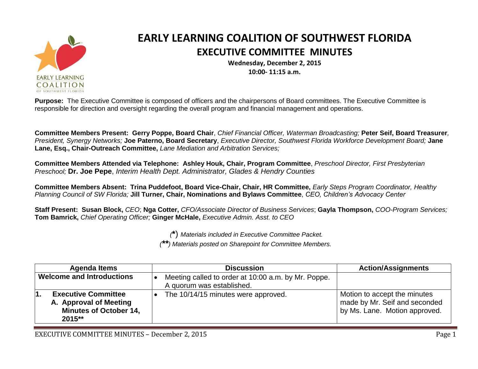

## **EARLY LEARNING COALITION OF SOUTHWEST FLORIDA EXECUTIVE COMMITTEE MINUTES**

**Wednesday, December 2, 2015 10:00- 11:15 a.m.**

**Purpose:** The Executive Committee is composed of officers and the chairpersons of Board committees. The Executive Committee is responsible for direction and oversight regarding the overall program and financial management and operations.

**Committee Members Present: Gerry Poppe, Board Chair**, *Chief Financial Officer, Waterman Broadcasting;* **Peter Seif, Board Treasurer***, President, Synergy Networks;* **Joe Paterno, Board Secretary**, *Executive Director, Southwest Florida Workforce Development Board;* **Jane Lane, Esq., Chair-Outreach Committee,** *Lane Mediation and Arbitration Services;* 

**Committee Members Attended via Telephone: Ashley Houk, Chair, Program Committee**, *Preschool Director, First Presbyterian Preschool;* **Dr. Joe Pepe**, *Interim Health Dept. Administrator, Glades & Hendry Counties*

**Committee Members Absent: Trina Puddefoot, Board Vice-Chair, Chair, HR Committee,** *Early Steps Program Coordinator, Healthy Planning Council of SW Florida;* **Jill Turner, Chair, Nominations and Bylaws Committee**, *CEO, Children's Advocacy Center*

**Staff Present: Susan Block,** *CEO*; **Nga Cotter,** *CFO/Associate Director of Business Services*; **Gayla Thompson,** *COO-Program Services;*  **Tom Bamrick,** *Chief Operating Officer;* **Ginger McHale,** *Executive Admin. Asst. to CEO*

*(***\***) *Materials included in Executive Committee Packet.*

*(\*\*) Materials posted on Sharepoint for Committee Members.*

| Agenda Items                                                                                           | <b>Discussion</b>                                                                | <b>Action/Assignments</b>                                                                      |
|--------------------------------------------------------------------------------------------------------|----------------------------------------------------------------------------------|------------------------------------------------------------------------------------------------|
| <b>Welcome and Introductions</b>                                                                       | Meeting called to order at 10:00 a.m. by Mr. Poppe.<br>A quorum was established. |                                                                                                |
| <b>Executive Committee</b><br>l1.<br>A. Approval of Meeting<br><b>Minutes of October 14,</b><br>2015** | The 10/14/15 minutes were approved.                                              | Motion to accept the minutes<br>made by Mr. Seif and seconded<br>by Ms. Lane. Motion approved. |

EXECUTIVE COMMITTEE MINUTES – December 2, 2015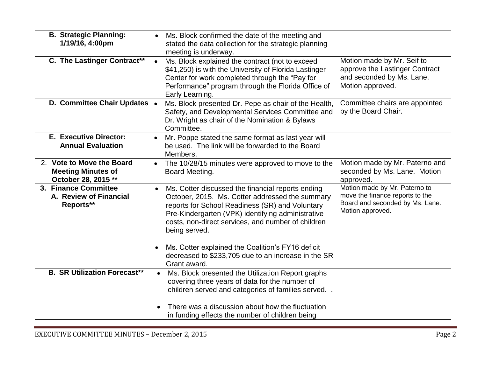| <b>B. Strategic Planning:</b><br>1/19/16, 4:00pm<br>C. The Lastinger Contract** | Ms. Block confirmed the date of the meeting and<br>stated the data collection for the strategic planning<br>meeting is underway.<br>Ms. Block explained the contract (not to exceed<br>\$41,250) is with the University of Florida Lastinger<br>Center for work completed through the "Pay for<br>Performance" program through the Florida Office of<br>Early Learning.                         | Motion made by Mr. Seif to<br>approve the Lastinger Contract<br>and seconded by Ms. Lane.<br>Motion approved.           |
|---------------------------------------------------------------------------------|-------------------------------------------------------------------------------------------------------------------------------------------------------------------------------------------------------------------------------------------------------------------------------------------------------------------------------------------------------------------------------------------------|-------------------------------------------------------------------------------------------------------------------------|
| D. Committee Chair Updates                                                      | Ms. Block presented Dr. Pepe as chair of the Health,<br>$\bullet$<br>Safety, and Developmental Services Committee and<br>Dr. Wright as chair of the Nomination & Bylaws<br>Committee.                                                                                                                                                                                                           | Committee chairs are appointed<br>by the Board Chair.                                                                   |
| <b>E. Executive Director:</b><br><b>Annual Evaluation</b>                       | Mr. Poppe stated the same format as last year will<br>$\bullet$<br>be used. The link will be forwarded to the Board<br>Members.                                                                                                                                                                                                                                                                 |                                                                                                                         |
| 2. Vote to Move the Board<br><b>Meeting Minutes of</b><br>October 28, 2015 **   | The 10/28/15 minutes were approved to move to the<br>$\bullet$<br>Board Meeting.                                                                                                                                                                                                                                                                                                                | Motion made by Mr. Paterno and<br>seconded by Ms. Lane. Motion<br>approved.                                             |
| 3. Finance Committee<br>A. Review of Financial<br>Reports**                     | Ms. Cotter discussed the financial reports ending<br>October, 2015. Ms. Cotter addressed the summary<br>reports for School Readiness (SR) and Voluntary<br>Pre-Kindergarten (VPK) identifying administrative<br>costs, non-direct services, and number of children<br>being served.<br>Ms. Cotter explained the Coalition's FY16 deficit<br>decreased to \$233,705 due to an increase in the SR | Motion made by Mr. Paterno to<br>move the finance reports to the<br>Board and seconded by Ms. Lane.<br>Motion approved. |
| <b>B. SR Utilization Forecast**</b>                                             | Grant award.<br>Ms. Block presented the Utilization Report graphs<br>$\bullet$                                                                                                                                                                                                                                                                                                                  |                                                                                                                         |
|                                                                                 | covering three years of data for the number of<br>children served and categories of families served.<br>There was a discussion about how the fluctuation<br>in funding effects the number of children being                                                                                                                                                                                     |                                                                                                                         |